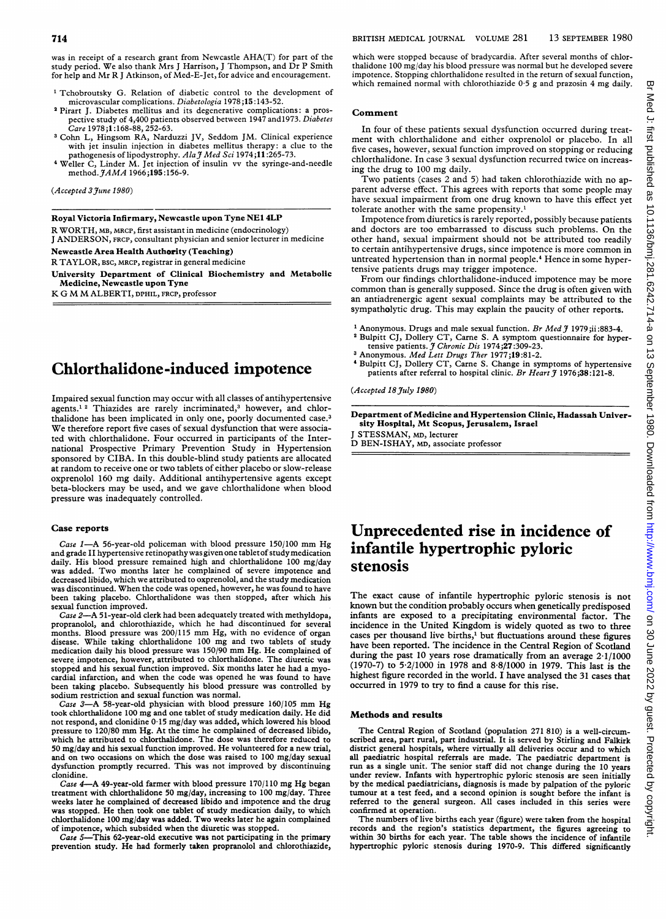was in receipt of <sup>a</sup> research grant from Newcastle AHA(T) for part of the study period. We also thank Mrs <sup>J</sup> Harrison, <sup>J</sup> Thompson, and Dr P Smith for help and Mr R <sup>J</sup> Atkinson, of Med-E-Jet, for advice and encouragement.

- <sup>1</sup> Tchobroutsky G. Relation of diabetic control to the development of microvascular complications. Diabetologia 1978;15:143-52.
- <sup>2</sup> Pirart J. Diabetes mellitus and its degenerative complications: a prospective study of 4,400 patients observed between 1947 and1973. Diabetes Care 1978;1:168-88, 252-63.
- 3Cohn L, Hingsom RA, Narduzzi JV, Seddom JM. Clinical experience with jet insulin injection in diabetes mellitus therapy: a clue to the pathogenesis of lipodystrophy. Ala J Med Sci 1974;11:265-73.
- 4Weller C, Linder M. Jet injection of insulin vv the syringe-and-needle method.  $JAMA$  1966;195:156-9.

(Accepted 3 June 1980)

Royal Victoria Infirmary, Newcastle upon Tyne NE1 4LP

R WORTH, MB, MRCP, first assistant in medicine (endocrinology) <sup>J</sup> ANDERSON, FRCP, consultant physician and senior lecturer in medicine

Newcastle Area Health Authority (Teaching)

R TAYLOR, BSC, MRCP, registrar in general medicine

University Department of Clinical Biochemistry and Metabolic Medicine, Newcastle upon Tyne

K G M MALBERTI, DPHIL, FRCP, professor

# Chlorthalidone-induced impotence

Impaired sexual function may occur with all classes of antihypertensive agents.<sup>12</sup> Thiazides are rarely incriminated,<sup>3</sup> however, and chlorthalidone has been implicated in only one, poorly documented case.3 We therefore report five cases of sexual dysfunction that were associated with chlorthalidone. Four occurred in participants of the International Prospective Primary Prevention Study in Hypertension sponsored by CIBA. In this double-blind study patients are allocated at random to receive one or two tablets of either placebo or slow-release oxprenolol 160 mg daily. Additional antihypertensive agents except beta-blockers may be used, and we gave chlorthalidone when blood pressure was inadequately controlled.

#### Case reports

Case 1-A 56-year-old policeman with blood pressure 150/100 mm Hg and grade II hypertensive retinopathywas given one tabletof studymedication daily. His blood pressure remained high and chlorthalidone 100 mg/day was added. Two months later he complained of severe impotence and decreased libido, which we attributed to oxprenolol, and the study medication was discontinued. When the code was opened, however, he was found to have been taking placebo. Chlorthalidone was then stopped, after which his sexual function improved.

Case 2-A 51-year-old clerk had been adequately treated with methyldopa, propranolol, and chlorothiazide, which he had discontinued for several months. Blood pressure was 200/115 mm Hg, with no evidence of organ disease. While taking chlorthalidone <sup>100</sup> mg and two tablets of study medication daily his blood pressure was 150/90 mm Hg. He complained of severe impotence, however, attributed to chlorthalidone. The diuretic was stopped and his sexual function improved. Six months later he had a myocardial infarction, and when the code was opened he was found to have been taking placebo. Subsequently his blood pressure was controlled by sodium restriction and sexual function was normal.

Case 3-A 58-year-old physician with blood pressure 160/105 mm Hg took chlorthalidone <sup>100</sup> mg and one tablet of study medication daily. He did not respond, and clonidine 0-15 mg/day was added, which lowered his blood pressure to 120/80 mm Hg. At the time he complained of decreased libido, which he attributed to chlorthalidone. The dose was therefore reduced to 50 mg/day and his sexual function improved. He volunteered for <sup>a</sup> new trial, and on two occasions on which the dose was raised to 100 mg/day sexual dysfunction promptly recurred. This was not improved by discontinuing clonidine.

Case 4-A 49-year-old farmer with blood pressure 170/110 mg Hg began treatment with chlorthalidone 50 mg/day, increasing to 100 mg/day. Three weeks later he complained of decreased libido and impotence and the drug was stopped. He then took one tablet of study medication daily, to which chlorthalidone 100 mg/day was added. Two weeks later he again complained of impotence, which subsided when the diuretic was stopped.

Case 5-This 62-year-old executive was not participating in the primary prevention study. He had formerly taken propranolol and chlorothiazide,

which were stopped because of bradycardia. After several months of chlorthalidone 100 mg/day his blood pressure was normal but he developed severe impotence. Stopping chlorthalidone resulted in the return of sexual function, which remained normal with chlorothiazide 0-5 g and prazosin 4 mg daily.

#### Comment

In four of these patients sexual dysfunction occurred during treatment with chlorthalidone and either oxprenolol or placebo. In all five cases, however, sexual function improved on stopping or reducing chlorthalidone. In case 3 sexual dysfunction recurred twice on increasing the drug to <sup>100</sup> mg daily.

Two patients (cases <sup>2</sup> and 5) had taken chlorothiazide with no apparent adverse effect. This agrees with reports that some people may have sexual impairment from one drug known to have this effect yet tolerate another with the same propensity.'

Impotence from diuretics is rarely reported, possibly because patients and doctors are too embarrassed to discuss such problems. On the other hand, sexual impairment should not be attributed too readily to certain antihypertensive drugs, since impotence is more common in untreated hypertension than in normal people.4 Hence in some hypertensive patients drugs may trigger impotence.

From our findings chlorthalidone-induced impotence may be more common than is generally supposed. Since the drug is often given with an antiadrenergic agent sexual complaints may be attributed to the sympatholytic drug. This may explain the paucity of other reports.

- <sup>1</sup> Anonymous. Drugs and male sexual function. Br Med  $\widetilde{J}$  1979;ii:883-4.
- <sup>2</sup> Bulpitt CJ, Dollery CT, Carne S. A symptom questionnaire for hypertensive patients.  $\tilde{J}$  Chronic Dis 1974;27:309-23.
- <sup>3</sup> Anonymous. Med Lett Drugs Ther 1977;19:81-2.
- 4Bulpitt CJ, Dollery CT, Came S. Change in symptoms of hypertensive patients after referral to hospital clinic. Br Heart  $\tilde{\jmath}$  1976;38:121-8.

(Accepted 18 July 1980)

Department of Medicine and Hypertension Clinic, Hadassah University Hospital, Mt Scopus, Jerusalem, Israel

STESSMAN, MD, lecturer D BEN-ISHAY, MD, associate professor

# Unprecedented rise in incidence of infantile hypertrophic pyloric stenosis

The exact cause of infantile hypertrophic pyloric stenosis is not known but the condition probably occurs when genetically predisposed infants are exposed to a precipitating environmental factor. The incidence in the United Kingdom is widely quoted as two to three cases per thousand live births,' but fluctuations around these figures have been reported. The incidence in the Central Region of Scotland during the past 10 years rose dramatically from an average 2.1/1000 (1970-7) to 5 2/1000 in 1978 and 8-8/1000 in 1979. This last is the highest figure recorded in the world. I have analysed the 31 cases that occurred in 1979 to try to find a cause for this rise.

#### Methods and results

The Central Region of Scotland (population 271 810) is <sup>a</sup> well-circumscribed area, part rural, part industrial. It is served by Stirling and Falkirk district general hospitals, where virtually all deliveries occur and to which all paediatric hospital referrals are made. The paediatric department is run as <sup>a</sup> single unit. The senior staff did not change during the 10 years under review. Infants with hypertrophic pyloric stenosis are seen initially by the medical paediatricians, diagnosis is made by palpation of the pyloric tumour at a test feed, and a second opinion is sought before the infant is referred to the general surgeon. All cases included in this series were confirmed at operation.

The numbers of live births each year (figure) were taken from the hospital records and the region's statistics department, the figures agreeing to within 30 births for each year. The table shows the incidence of infantile hypertrophic pyloric stenosis during 1970-9. This differed significantly